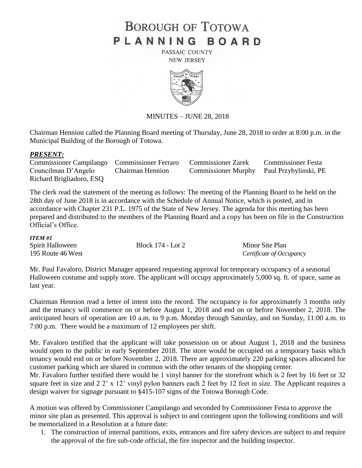# **BOROUGH OF TOTOWA** PLANNING BOARD

PASSAIC COUNTY **NEW JERSEY** 



# MINUTES – JUNE 28, 2018

Chairman Hennion called the Planning Board meeting of Thursday, June 28, 2018 to order at 8:00 p.m. in the Municipal Building of the Borough of Totowa.

## *PRESENT:*

Commissioner Campilango Commissioner Ferraro Commissioner Zarek Commissioner Festa Councilman D'Angelo Chairman Hennion Commissioner Murphy Paul Przybylinski, PE Richard Brigliadoro, ESQ

The clerk read the statement of the meeting as follows: The meeting of the Planning Board to be held on the 28th day of June 2018 is in accordance with the Schedule of Annual Notice, which is posted, and in accordance with Chapter 231 P.L. 1975 of the State of New Jersey. The agenda for this meeting has been prepared and distributed to the members of the Planning Board and a copy has been on file in the Construction Official's Office.

#### *ITEM #1*

| Spirit Halloween  | Block 174 - Lot 2 | Minor Site Plan          |
|-------------------|-------------------|--------------------------|
| 195 Route 46 West |                   | Certificate of Occupancy |

Mr. Paul Favaloro, District Manager appeared requesting approval for temporary occupancy of a seasonal Halloween costume and supply store. The applicant will occupy approximately 5,000 sq. ft. of space, same as last year.

Chairman Hennion read a letter of intent into the record. The occupancy is for approximately 3 months only and the tenancy will commence on or before August 1, 2018 and end on or before November 2, 2018. The anticipated hours of operation are 10 a.m. to 9 p.m. Monday through Saturday, and on Sunday, 11:00 a.m. to 7:00 p.m. There would be a maximum of 12 employees per shift.

Mr. Favaloro testified that the applicant will take possession on or about August 1, 2018 and the business would open to the public in early September 2018. The store would be occupied on a temporary basis which tenancy would end on or before November 2, 2018. There are approximately 220 parking spaces allocated for customer parking which are shared in common with the other tenants of the shopping center.

Mr. Favaloro further testified there would be 1 vinyl banner for the storefront which is 2 feet by 16 feet or 32 square feet in size and 2 2' x 12' vinyl pylon banners each 2 feet by 12 feet in size. The Applicant requires a design waiver for signage pursuant to §415-107 signs of the Totowa Borough Code.

A motion was offered by Commissioner Campilango and seconded by Commissioner Festa to approve the minor site plan as presented. This approval is subject to and contingent upon the following conditions and will be memorialized in a Resolution at a future date:

1. The construction of internal partitions, exits, entrances and fire safety devices are subject to and require the approval of the fire sub-code official, the fire inspector and the building inspector.